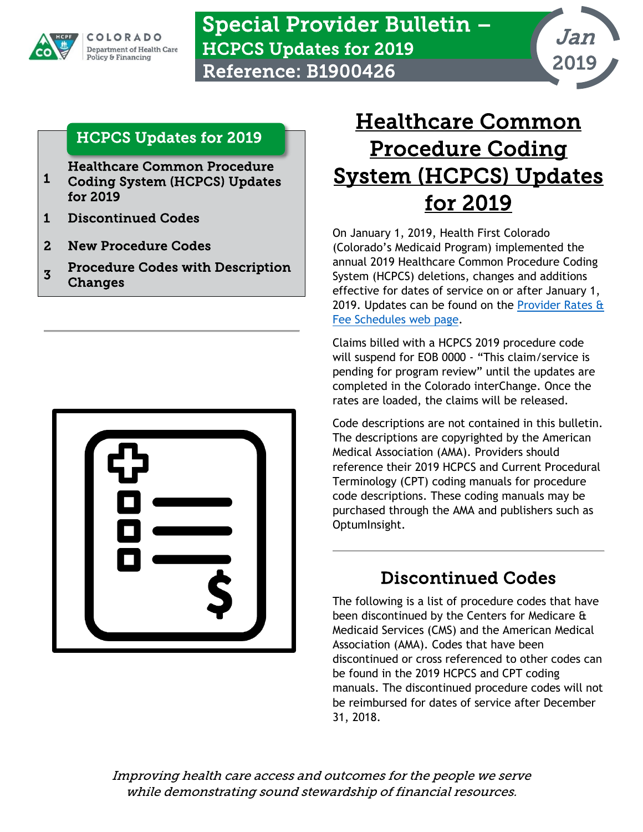

Special Provider Bulletin – HCPCS Updates for 2019 Reference: B1900426



#### <span id="page-0-0"></span>[HCPCS Updates for 2019](#page-0-0)

**Healthcare Common Procedure**<br>[1](#page-0-0) Coding System (HCPCS) Undate

- [Coding System \(HCPCS\) Updates](#page-0-1)  [for 2019](#page-0-1)
- [1 Discontinued Codes](#page-0-2)
- [2 New Procedure Codes](#page-1-0)
- **3** Procedure Codes with Description [Changes](#page-2-0)



# <span id="page-0-1"></span>Healthcare Common Procedure Coding System (HCPCS) Updates for 2019

On January 1, 2019, Health First Colorado (Colorado's Medicaid Program) implemented the annual 2019 Healthcare Common Procedure Coding System (HCPCS) deletions, changes and additions effective for dates of service on or after January 1, 2019. Updates can be found on the **Provider Rates &** [Fee Schedules web page.](https://www.colorado.gov/pacific/hcpf/provider-rates-fee-schedule)

Claims billed with a HCPCS 2019 procedure code will suspend for EOB 0000 - "This claim/service is pending for program review" until the updates are completed in the Colorado interChange. Once the rates are loaded, the claims will be released.

Code descriptions are not contained in this bulletin. The descriptions are copyrighted by the American Medical Association (AMA). Providers should reference their 2019 HCPCS and Current Procedural Terminology (CPT) coding manuals for procedure code descriptions. These coding manuals may be purchased through the AMA and publishers such as OptumInsight.

# Discontinued Codes

<span id="page-0-2"></span>The following is a list of procedure codes that have been discontinued by the Centers for Medicare & Medicaid Services (CMS) and the American Medical Association (AMA). Codes that have been discontinued or cross referenced to other codes can be found in the 2019 HCPCS and CPT coding manuals. The discontinued procedure codes will not be reimbursed for dates of service after December 31, 2018.

Improving health care access and outcomes for the people we serve while demonstrating sound stewardship of financial resources.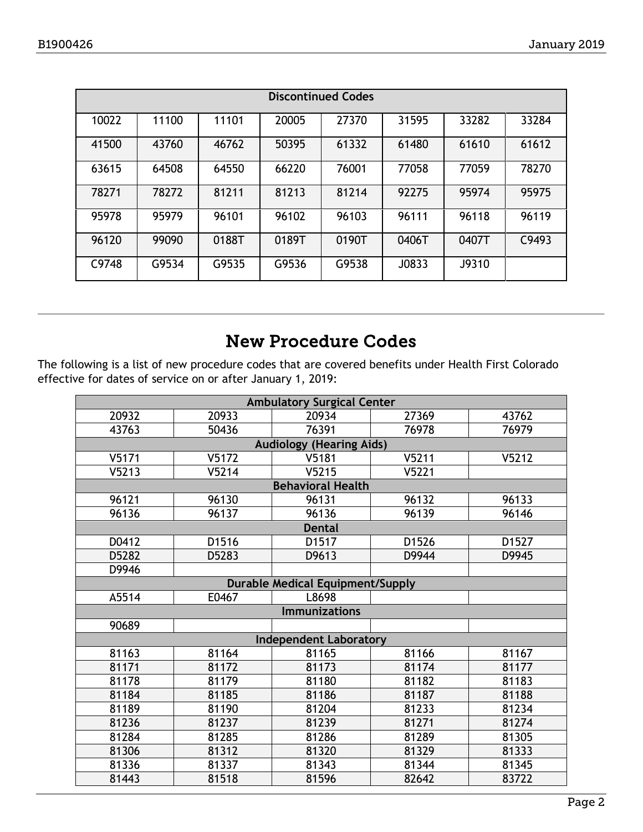| <b>Discontinued Codes</b> |       |       |       |       |       |       |       |  |  |
|---------------------------|-------|-------|-------|-------|-------|-------|-------|--|--|
| 10022                     | 11100 | 11101 | 20005 | 27370 | 31595 | 33282 | 33284 |  |  |
| 41500                     | 43760 | 46762 | 50395 | 61332 | 61480 | 61610 | 61612 |  |  |
| 63615                     | 64508 | 64550 | 66220 | 76001 | 77058 | 77059 | 78270 |  |  |
| 78271                     | 78272 | 81211 | 81213 | 81214 | 92275 | 95974 | 95975 |  |  |
| 95978                     | 95979 | 96101 | 96102 | 96103 | 96111 | 96118 | 96119 |  |  |
| 96120                     | 99090 | 0188T | 0189T | 0190T | 0406T | 0407T | C9493 |  |  |
| C9748                     | G9534 | G9535 | G9536 | G9538 | J0833 | J9310 |       |  |  |

### New Procedure Codes

<span id="page-1-0"></span>The following is a list of new procedure codes that are covered benefits under Health First Colorado effective for dates of service on or after January 1, 2019:

| <b>Ambulatory Surgical Center</b>       |                          |                |       |       |  |  |  |  |  |
|-----------------------------------------|--------------------------|----------------|-------|-------|--|--|--|--|--|
| 20932                                   | 20933                    | 20934          | 27369 | 43762 |  |  |  |  |  |
| 43763                                   | 50436                    | 76391          | 76978 | 76979 |  |  |  |  |  |
| <b>Audiology (Hearing Aids)</b>         |                          |                |       |       |  |  |  |  |  |
| V5171                                   | V5172                    | V5181          | V5211 | V5212 |  |  |  |  |  |
| V5213                                   | V5214                    | V5215          | V5221 |       |  |  |  |  |  |
|                                         | <b>Behavioral Health</b> |                |       |       |  |  |  |  |  |
| 96121                                   | 96130                    | 96131          | 96132 | 96133 |  |  |  |  |  |
| 96136                                   | 96137                    | 96136          | 96139 | 96146 |  |  |  |  |  |
| <b>Dental</b>                           |                          |                |       |       |  |  |  |  |  |
| D0412                                   | D1516                    | D1517          | D1526 | D1527 |  |  |  |  |  |
| D5282                                   | D5283                    | D9613          | D9944 | D9945 |  |  |  |  |  |
| D9946                                   |                          |                |       |       |  |  |  |  |  |
| <b>Durable Medical Equipment/Supply</b> |                          |                |       |       |  |  |  |  |  |
| A5514                                   | E0467                    | L8698          |       |       |  |  |  |  |  |
| <b>Immunizations</b>                    |                          |                |       |       |  |  |  |  |  |
| 90689                                   |                          |                |       |       |  |  |  |  |  |
| <b>Independent Laboratory</b>           |                          |                |       |       |  |  |  |  |  |
| 81163                                   | 81164                    | 81165          | 81166 | 81167 |  |  |  |  |  |
| 81171                                   | 81172                    | 81173          | 81174 | 81177 |  |  |  |  |  |
| 81178                                   | 81179<br>81180           |                | 81182 | 81183 |  |  |  |  |  |
| 81184                                   | 81185                    | 81186          | 81187 | 81188 |  |  |  |  |  |
| 81189                                   | 81190                    | 81204<br>81239 | 81233 | 81234 |  |  |  |  |  |
| 81236                                   | 81237                    |                | 81271 | 81274 |  |  |  |  |  |
| 81284                                   | 81285<br>81286           |                | 81289 | 81305 |  |  |  |  |  |
| 81306                                   | 81312                    | 81320          | 81329 | 81333 |  |  |  |  |  |
| 81336                                   | 81337                    | 81343          | 81344 | 81345 |  |  |  |  |  |
| 81443                                   | 81518                    | 81596          | 82642 | 83722 |  |  |  |  |  |